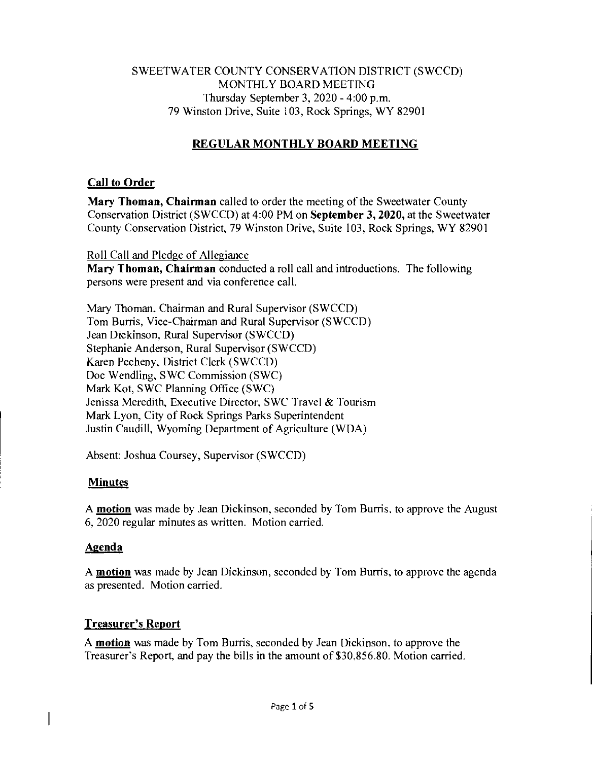## SWEETWATER COUNTY CONSERVATION DISTRICT (SWCCD) MONTHLY BOARD MEETING Thursday September 3, 2020 - 4:00 p.m. 79 Winston Drive, Suite 103, Rock Springs, WY 82901

# **REGULAR MONTHLY BOARD MEETING**

# **Call to Order**

**Mary Thoman, Chairman** called to order the meeting of the Sweetwater County Conservation District (SWCCD) at 4:00 PM on **September 3, 2020,** at the Sweetwater County Conservation District, 79 Winston Drive, Suite 103, Rock Springs, WY 82901

# Roll Call and Pledge of Allegiance

**Mary Thoman, Chairman** conducted a roll call and introductions. The following persons were present and via conference call.

Mary Thoman, Chairman and Rural Supervisor (SWCCD) Tom Burris, Vice-Chairman and Rural Supervisor (SWCCD) Jean Dickinson, Rural Supervisor (SWCCD) Stephanie Anderson, Rural Supervisor (SWCCD) Karen Pecheny, District Clerk (SWCCD) Doc Wendling, SWC Commission (SWC) Mark Kot, SWC Planning Office (SWC) Jenissa Meredith, Executive Director, SWC Travel *&* Tourism Mark Lyon, City of Rock Springs Parks Superintendent Justin Caudill, Wyoming Department of Agriculture (WDA)

Absent: Joshua Coursey, Supervisor (SWCCD)

# **Minutes**

A **motion** was made by Jean Dickinson, seconded by Tom Burris, to approve the August 6, 2020 regular minutes as written. Motion carried.

# **Agenda**

A **motion** was made by Jean Dickinson, seconded by Tom Burns, to approve the agenda as presented. Motion carried.

# **Treasurer's Report**

A **motion** was made by Tom Burns, seconded by Jean Dickinson, to approve the Treasurer's Report, and pay the bills in the amount of \$30,856.80. Motion carried.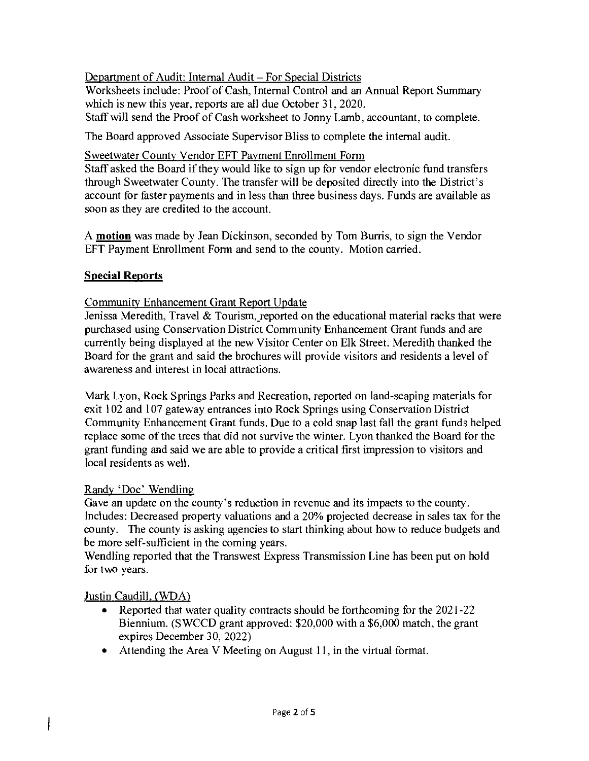Department of Audit: Internal Audit — For Special Districts

Worksheets include: Proof of Cash, Internal Control and an Annual Report Summary which is new this year, reports are all due October 31, 2020. Staff will send the Proof of Cash worksheet to Jonny Lamb, accountant, to complete.

The Board approved Associate Supervisor Bliss to complete the internal audit.

#### Sweetwater County Vendor EFT Payment Enrollment Form

Staff asked the Board if they would like to sign up for vendor electronic fund transfers through Sweetwater County. The transfer will be deposited directly into the District's account for faster payments and in less than three business days. Funds are available as soon as they are credited to the account.

A motion was made by Jean Dickinson, seconded by Tom Burris, to sign the Vendor EFT Payment Enrollment Form and send to the county. Motion carried.

## Special Reports

## Community Enhancement Grant Report Update

Jenissa Meredith, Travel & Tourism, reported on the educational material racks that were purchased using Conservation District Community Enhancement Grant funds and are currently being displayed at the new Visitor Center on Elk Street. Meredith thanked the Board for the grant and said the brochures will provide visitors and residents a level of awareness and interest in local attractions.

Mark Lyon, Rock Springs Parks and Recreation, reported on land-scaping materials for exit 102 and 107 gateway entrances into Rock Springs using Conservation District Community Enhancement Grant funds. Due to a cold snap last fall the grant funds helped replace some of the trees that did not survive the winter. Lyon thanked the Board for the grant funding and said we are able to provide a critical first impression to visitors and local residents as well.

#### Randy 'Doc' Wendling

Gave an update on the county's reduction in revenue and its impacts to the county. Includes: Decreased property valuations and a 20% projected decrease in sales tax for the county. The county is asking agencies to start thinking about how to reduce budgets and be more self-sufficient in the coming years.

Wendling reported that the Transwest Express Transmission Line has been put on hold for two years.

#### Justin Caudill, (WDA)

 $\mathsf{I}$ 

- Reported that water quality contracts should be forthcoming for the 2021-22 Biennium. (SWCCD grant approved: \$20,000 with a \$6,000 match, the grant expires December 30, 2022)
- Attending the Area V Meeting on August 11, in the virtual format.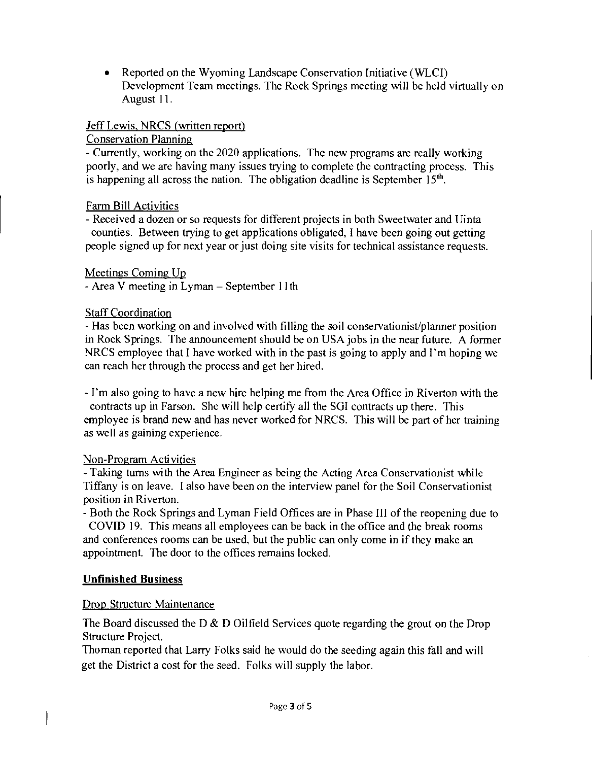• Reported on the Wyoming Landscape Conservation Initiative (WLCI) Development Team meetings. The Rock Springs meeting will be held virtually on August 11.

### Jeff Lewis, NRCS (written report)

### Conservation Planning

- Currently, working on the 2020 applications. The new programs are really working poorly, and we are having many issues trying to complete the contracting process. This is happening all across the nation. The obligation deadline is September  $15<sup>th</sup>$ .

## Farm Bill Activities

- Received a dozen or so requests for different projects in both Sweetwater and Uinta counties. Between trying to get applications obligated, I have been going out getting people signed up for next year or just doing site visits for technical assistance requests.

## Meetings Coming Up

- Area V meeting in Lyman - September 11th

## Staff Coordination

- Has been working on and involved with filling the soil conservationist/planner position in Rock Springs. The announcement should be on USA jobs in the near future. A former NRCS employee that I have worked with in the past is going to apply and I'm hoping we can reach her through the process and get her hired.

- I'm also going to have a new hire helping me from the Area Office in Riverton with the contracts up in Farson. She will help certify all the SGI contracts up there. This employee is brand new and has never worked for NRCS. This will be part of her training as well as gaining experience.

#### Non-Program Activities

- Taking turns with the Area Engineer as being the Acting Area Conservationist while Tiffany is on leave. I also have been on the interview panel for the Soil Conservationist position in Riverton.

- Both the Rock Springs and Lyman Field Offices are in Phase III of the reopening due to COVID 19. This means all employees can be back in the office and the break rooms and conferences rooms can be used, but the public can only come in if they make an appointment. The door to the offices remains locked.

# Unfinished Business

# Drop Structure Maintenance

The Board discussed the D *&* D Oilfield Services quote regarding the grout on the Drop Structure Project.

Thoman reported that Larry Folks said he would do the seeding again this fall and will get the District a cost for the seed. Folks will supply the labor.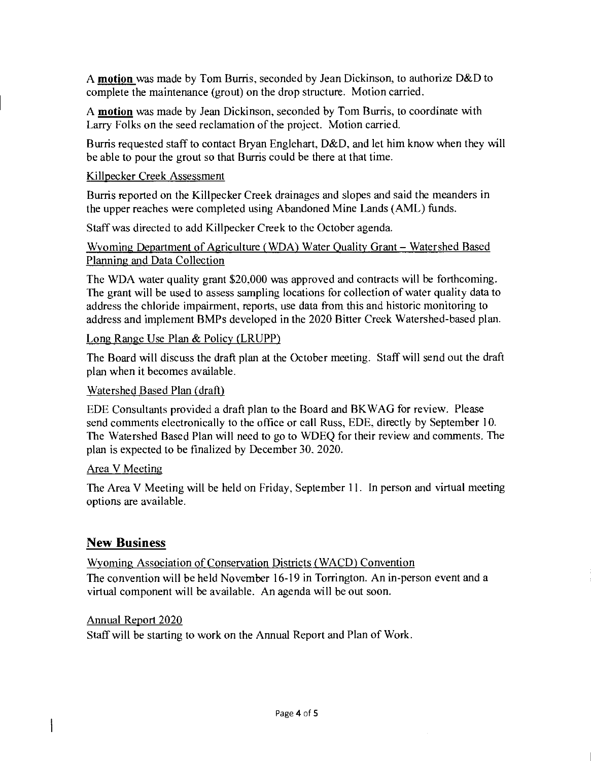A motion was made by Tom Burris, seconded by Jean Dickinson, to authorize D&D to complete the maintenance (grout) on the drop structure. Motion carried.

A motion was made by Jean Dickinson, seconded by Tom Burris, to coordinate with Larry Folks on the seed reclamation of the project. Motion carried.

Burris requested staff to contact Bryan Englehart, D&D, and let him know when they will be able to pour the grout so that Burris could be there at that time.

#### Killpecker Creek Assessment

Burris reported on the Killpecker Creek drainages and slopes and said the meanders in the upper reaches were completed using Abandoned Mine Lands (AML) funds.

Staff was directed to add Killpecker Creek to the October agenda.

Wyoming Department of Agriculture (WDA) Water Quality Grant — Watershed Based Planning and Data Collection

The WDA water quality grant \$20,000 was approved and contracts will be forthcoming. The grant will be used to assess sampling locations for collection of water quality data to address the chloride impairment, reports, use data from this and historic monitoring to address and implement BMPs developed in the 2020 Bitter Creek Watershed-based plan.

#### Long Range Use Plan & Policy (LRUPP)

The Board will discuss the draft plan at the October meeting. Staff will send out the draft plan when it becomes available.

#### Watershed Based Plan (draft)

EDE Consultants provided a draft plan to the Board and BKWAG for review. Please send comments electronically to the office or call Russ, EDE, directly by September 10. The Watershed Based Plan will need to go to WDEQ for their review and comments. The plan is expected to be finalized by December 30, 2020.

#### Area V Meeting

The Area V Meeting will be held on Friday, September 11. In person and virtual meeting options are available.

# **New Business**

Wyoming Association of Conservation Districts (WACD) Convention The convention will be held November 16-19 in Torrington. An in-person event and a virtual component will be available. An agenda will be out soon.

# Annual Report 2020

 $\mathbf{\mathbf{I}}$ 

Staff will be starting to work on the Annual Report and Plan of Work.